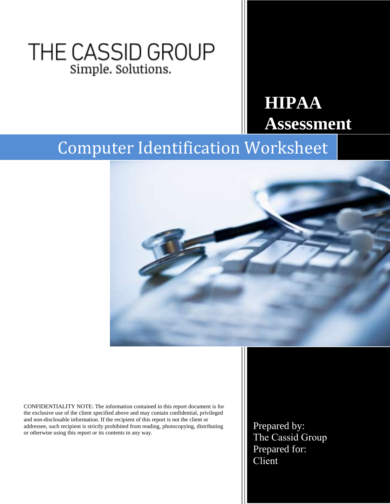## THE CASSID GROUP Simple. Solutions.

# **HIPAA Assessment**

# Computer Identification Worksheet



CONFIDENTIALITY NOTE: The information contained in this report document is for the exclusive use of the client specified above and may contain confidential, privileged and non-disclosable information. If the recipient of this report is not the client or addressee, such recipient is strictly prohibited from reading, photocopying, distributing or otherwise using this report or its contents in any way.

Prepared by: The Cassid Group Prepared for: Client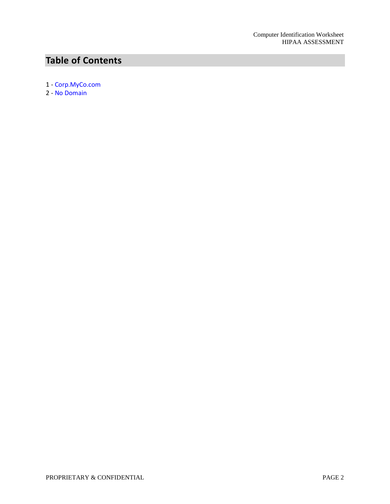Computer Identification Worksheet HIPAA ASSESSMENT

### **Table of Contents**

1 - [Corp.MyCo.com](#page-2-0)

2 - [No Domain](#page-4-0)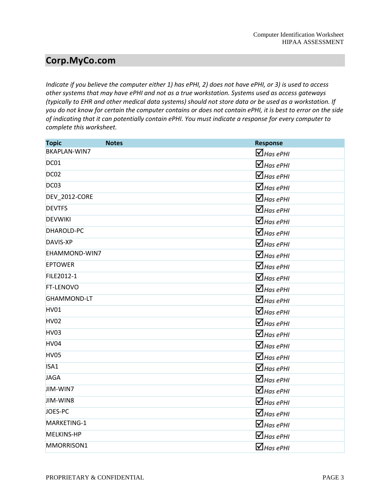### <span id="page-2-0"></span>**Corp.MyCo.com**

*Indicate if you believe the computer either 1) has ePHI, 2) does not have ePHI, or 3) is used to access other systems that may have ePHI and not as a true workstation. Systems used as access gateways (typically to EHR and other medical data systems) should not store data or be used as a workstation. If you do not know for certain the computer contains or does not contain ePHI, it is best to error on the side of indicating that it can potentially contain ePHI. You must indicate a response for every computer to complete this worksheet.*

| <b>Topic</b>        | <b>Notes</b> | <b>Response</b> |
|---------------------|--------------|-----------------|
| <b>BKAPLAN-WIN7</b> |              | $\Box$ Has ePHI |
| DC01                |              | $\Box$ Has ePHI |
| DC <sub>02</sub>    |              | $\Box$ Has ePHI |
| DC03                |              | $\Box$ Has ePHI |
| DEV_2012-CORE       |              | $\Box$ Has ePHI |
| <b>DEVTFS</b>       |              | $\Box$ Has ePHI |
| <b>DEVWIKI</b>      |              | $\Box$ Has ePHI |
| DHAROLD-PC          |              | $\Box$ Has ePHI |
| DAVIS-XP            |              | $\Box$ Has ePHI |
| EHAMMOND-WIN7       |              | $\Box$ Has ePHI |
| <b>EPTOWER</b>      |              | $\Box$ Has ePHI |
| FILE2012-1          |              | $\Box$ Has ePHI |
| <b>FT-LENOVO</b>    |              | $\Box$ Has ePHI |
| <b>GHAMMOND-LT</b>  |              | $\Box$ Has ePHI |
| <b>HV01</b>         |              | $\Box$ Has ePHI |
| <b>HV02</b>         |              | $\Box$ Has ePHI |
| <b>HV03</b>         |              | $\Box$ Has ePHI |
| HV04                |              | $\Box$ Has ePHI |
| HV05                |              | $\Box$ Has ePHI |
| ISA1                |              | $\Box$ Has ePHI |
| <b>JAGA</b>         |              | $\Box$ Has ePHI |
| JIM-WIN7            |              | $\Box$ Has ePHI |
| JIM-WIN8            |              | $\Box$ Has ePHI |
| JOES-PC             |              | $\Box$ Has ePHI |
| MARKETING-1         |              | $\Box$ Has ePHI |
| MELKINS-HP          |              | $\Box$ Наѕ еРНІ |
| MMORRISON1          |              | $\Box$ Has ePHI |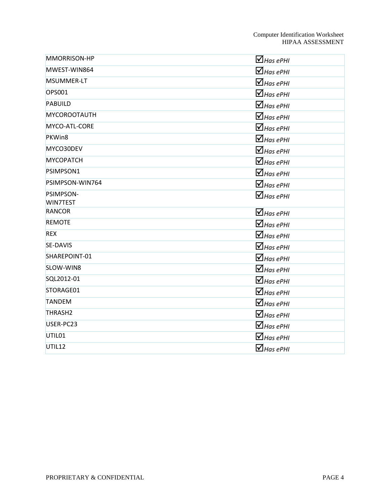#### Computer Identification Worksheet HIPAA ASSESSMENT

| MMORRISON-HP          | $\Box$ Has ePHI |
|-----------------------|-----------------|
| MWEST-WIN864          | $\Box$ Has ePHI |
| MSUMMER-LT            | $\Box$ Has ePHI |
| <b>OPS001</b>         | $\Box$ Has ePHI |
| <b>PABUILD</b>        | $\Box$ Has ePHI |
| <b>MYCOROOTAUTH</b>   | $\Box$ Has ePHI |
| MYCO-ATL-CORE         | $\Box$ Has ePHI |
| PKWin8                | $\Box$ Has ePHI |
| MYCO30DEV             | $\Box$ Has ePHI |
| <b>MYCOPATCH</b>      | $\Box$ Has ePHI |
| PSIMPSON1             | $\Box$ Has ePHI |
| PSIMPSON-WIN764       | $\Box$ Has ePHI |
| PSIMPSON-<br>WIN7TEST | $\Box$ Has ePHI |
| <b>RANCOR</b>         | $\Box$ Has ePHI |
| <b>REMOTE</b>         | $\Box$ Has ePHI |
| <b>REX</b>            | $\Box$ Has ePHI |
| SE-DAVIS              | $\Box$ Has ePHI |
| SHAREPOINT-01         | $\Box$ Has ePHI |
| SLOW-WIN8             | $\Box$ Has ePHI |
| SQL2012-01            | $\Box$ Has ePHI |
| STORAGE01             | $\Box$ Has ePHI |
| <b>TANDEM</b>         | $\Box$ Has ePHI |
| THRASH <sub>2</sub>   | $\Box$ Has ePHI |
| USER-PC23             | $\Box$ Has ePHI |
| UTIL01                | $\Box$ Has ePHI |
| UTIL12                | $\Box$ Has ePHI |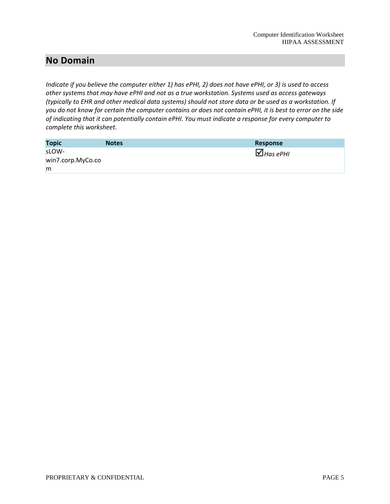#### <span id="page-4-0"></span>**No Domain**

*Indicate if you believe the computer either 1) has ePHI, 2) does not have ePHI, or 3) is used to access other systems that may have ePHI and not as a true workstation. Systems used as access gateways (typically to EHR and other medical data systems) should not store data or be used as a workstation. If you do not know for certain the computer contains or does not contain ePHI, it is best to error on the side of indicating that it can potentially contain ePHI. You must indicate a response for every computer to complete this worksheet.*

| <b>Topic</b>      | <b>Notes</b> | <b>Response</b> |
|-------------------|--------------|-----------------|
| sLOW-             |              | $\Box$ Has ePHI |
| win7.corp.MyCo.co |              |                 |
| m                 |              |                 |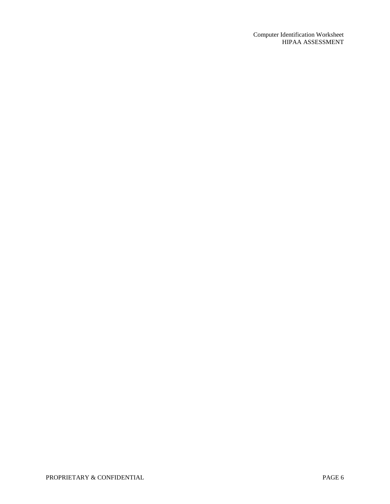Computer Identification Worksheet HIPAA ASSESSMENT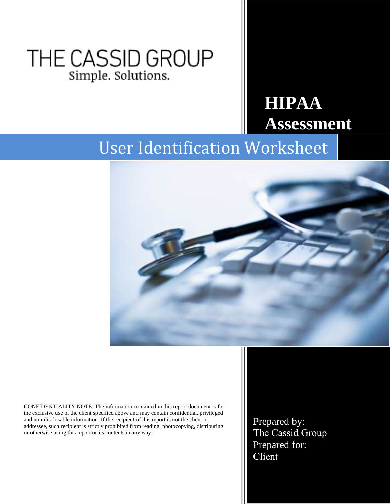### THE CASSID GROUP Simple. Solutions.

# **HIPAA Assessment**

## User Identification Worksheet



CONFIDENTIALITY NOTE: The information contained in this report document is for the exclusive use of the client specified above and may contain confidential, privileged and non-disclosable information. If the recipient of this report is not the client or addressee, such recipient is strictly prohibited from reading, photocopying, distributing or otherwise using this report or its contents in any way.

Prepared by: The Cassid Group Prepared for: Client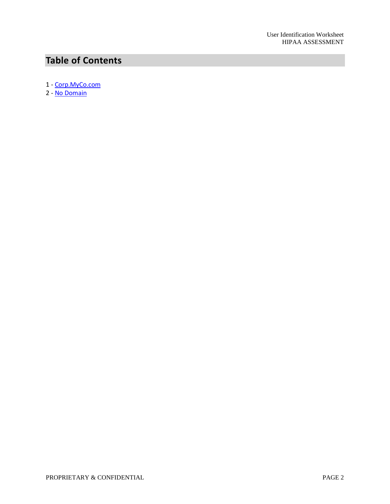User Identification Worksheet HIPAA ASSESSMENT

### **Table of Contents**

- 1 [Corp.MyCo.com](file:///C:/Users/mwinter/Documents/PerformanceIT/NetworkDetective/Sample%20Reports/HIPAA%202014-04-02/Anonymized%20HIPAA%20Sample%20Reports/8%20-%20User%20Identification%20Worksheet.docx%23Corp.PerformanceIT.com)
- 2 [No Domain](file:///C:/Users/mwinter/Documents/PerformanceIT/NetworkDetective/Sample%20Reports/HIPAA%202014-04-02/Anonymized%20HIPAA%20Sample%20Reports/8%20-%20User%20Identification%20Worksheet.docx%23NoDomain)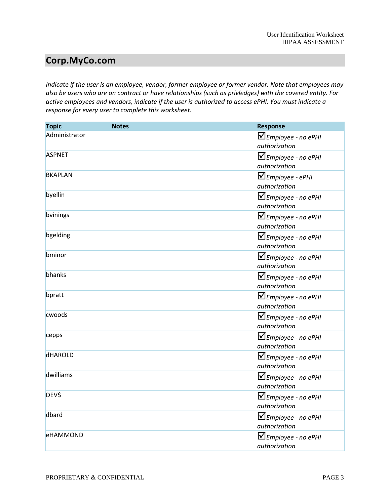### **Corp.MyCo.com**

*Indicate if the user is an employee, vendor, former employee or former vendor. Note that employees may also be users who are on contract or have relationships (such as privledges) with the covered entity. For active employees and vendors, indicate if the user is authorized to access ePHI. You must indicate a response for every user to complete this worksheet.*

| <b>Topic</b>   | <b>Notes</b> | <b>Response</b>                                    |
|----------------|--------------|----------------------------------------------------|
| Administrator  |              | Employee - no ePHI<br>authorization                |
| <b>ASPNET</b>  |              | $\blacksquare$ Employee - no ePHI<br>authorization |
| <b>BKAPLAN</b> |              | $\Delta$ Employee - ePHI<br>authorization          |
| byellin        |              | $\Sigma$ Employee - no ePHI<br>authorization       |
| bvinings       |              | $\blacksquare$ Employee - no ePHI<br>authorization |
| bgelding       |              | $\blacksquare$ Employee - no ePHI<br>authorization |
| bminor         |              | Employee - no ePHI<br>authorization                |
| bhanks         |              | Employee - no ePHI<br>authorization                |
| bpratt         |              | $\blacksquare$ Employee - no ePHI<br>authorization |
| cwoods         |              | $\blacksquare$ Employee - no ePHI<br>authorization |
| cepps          |              | $\blacksquare$ Employee - no ePHI<br>authorization |
| <b>dHAROLD</b> |              | Employee - no ePHI<br>authorization                |
| dwilliams      |              | $\blacksquare$ Employee - no ePHI<br>authorization |
| DEV\$          |              | $\Delta$ Employee - no ePHI<br>authorization       |
| dbard          |              | ⊡Employee - no ePHI<br>authorization               |
| eHAMMOND       |              | $\blacksquare$ Employee - no ePHI<br>authorization |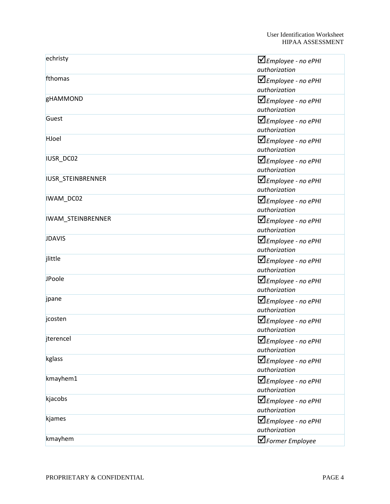| echristy          | $\blacksquare$ Employee - no ePHI<br>authorization |
|-------------------|----------------------------------------------------|
| fthomas           | $\blacksquare$ Employee - no ePHI<br>authorization |
| gHAMMOND          | Employee - no ePHI<br>authorization                |
| Guest             | $\blacksquare$ Employee - no ePHI<br>authorization |
| HJoel             | $\blacksquare$ Employee - no ePHI<br>authorization |
| IUSR_DC02         | Employee - no ePHI<br>authorization                |
| IUSR_STEINBRENNER | $\blacksquare$ Employee - no ePHI<br>authorization |
| IWAM_DC02         | Employee - no ePHI<br>authorization                |
| IWAM_STEINBRENNER | $\blacksquare$ Employee - no ePHI<br>authorization |
| <b>JDAVIS</b>     | $\blacksquare$ Employee - no ePHI<br>authorization |
| jlittle           | Employee - no ePHI<br>authorization                |
| JPoole            | $\blacksquare$ Employee - no ePHI<br>authorization |
| jpane             | $\blacksquare$ Employee - no ePHI<br>authorization |
| jcosten           | Employee - no ePHI<br>authorization                |
| jterencel         | Employee - no ePHI<br>authorization                |
| kglass            | $\blacksquare$ Employee - no ePHI<br>authorization |
| kmayhem1          | Employee - no ePHI<br>authorization                |
| kjacobs           | $\blacksquare$ Employee - no ePHI<br>authorization |
| kjames            | Employee - no ePHI<br>authorization                |
| kmayhem           | <b>M</b> Former Employee                           |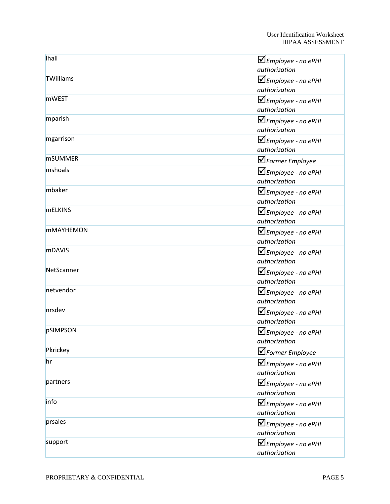| <b>Ihall</b>     | $\blacksquare$ Employee - no ePHI<br>authorization |
|------------------|----------------------------------------------------|
| TWilliams        | $\blacksquare$ Employee - no ePHI<br>authorization |
| mWEST            | Employee - no ePHI<br>authorization                |
| mparish          | <b>△</b> Employee - no ePHI<br>authorization       |
| mgarrison        | $\blacksquare$ Employee - no ePHI<br>authorization |
| <b>mSUMMER</b>   | <b>M</b> Former Employee                           |
| mshoals          | Employee - no ePHI<br>authorization                |
| mbaker           | Employee - no ePHI<br>authorization                |
| <b>mELKINS</b>   | Employee - no ePHI<br>authorization                |
| <b>mMAYHEMON</b> | $\blacksquare$ Employee - no ePHI<br>authorization |
| <b>mDAVIS</b>    | Employee - no ePHI<br>authorization                |
| NetScanner       | $\blacksquare$ Employee - no ePHI<br>authorization |
| netvendor        | $\blacksquare$ Employee - no ePHI<br>authorization |
| nrsdev           | $\blacksquare$ Employee - no ePHI<br>authorization |
| pSIMPSON         | $\Delta$ Employee - no ePHI<br>authorization       |
| Pkrickey         | Ø Former Employee                                  |
| hr               | $\blacksquare$ Employee - no ePHI<br>authorization |
| partners         | $\blacksquare$ Employee - no ePHI<br>authorization |
| info             | Employee - no ePHI<br>authorization                |
| prsales          | $\Sigma$ Employee - no ePHI<br>authorization       |
| support          | $\blacksquare$ Employee - no ePHI<br>authorization |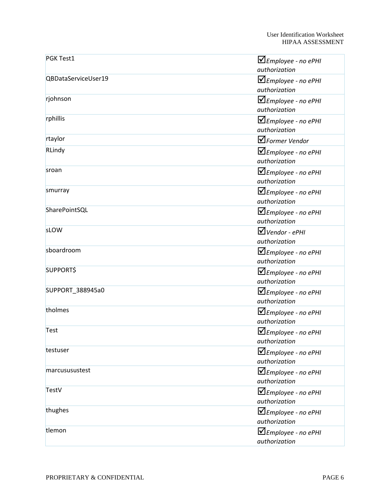| PGK Test1           | $\blacksquare$ Employee - no ePHI<br>authorization      |
|---------------------|---------------------------------------------------------|
| QBDataServiceUser19 | $\blacksquare$ Employee - no ePHI<br>authorization      |
| rjohnson            | Employee - no ePHI<br>authorization                     |
| rphillis            | ⊡Employee - no ePHI<br>authorization                    |
| rtaylor             | Ø Former Vendor                                         |
| RLindy              | $\blacksquare$ Employee - no ePHI<br>authorization      |
| sroan               | $\Delta$ Employee - no ePHI<br>authorization            |
| smurray             | $\blacksquare$ Employee - no ePHI<br>authorization      |
| SharePointSQL       | $\blacksquare$ Employee - no ePHI<br>authorization      |
| sLOW                | $\overline{\mathcal{U}}$ Vendor - ePHI<br>authorization |
| sboardroom          | Employee - no ePHI<br>authorization                     |
| <b>SUPPORT\$</b>    | $\blacksquare$ Employee - no ePHI<br>authorization      |
| SUPPORT_388945a0    | $\Delta$ Employee - no ePHI<br>authorization            |
| tholmes             | $\blacksquare$ Employee - no ePHI<br>authorization      |
| <b>Test</b>         | $\Delta$ Employee - no ePHI<br>authorization            |
| testuser            | Employee - no ePHI<br>authorization                     |
| marcususustest      | Employee - no ePHI<br>authorization                     |
| <b>TestV</b>        | Employee - no ePHI<br>authorization                     |
| thughes             | $\blacksquare$ Employee - no ePHI<br>authorization      |
| tlemon              | Employee - no ePHI<br>authorization                     |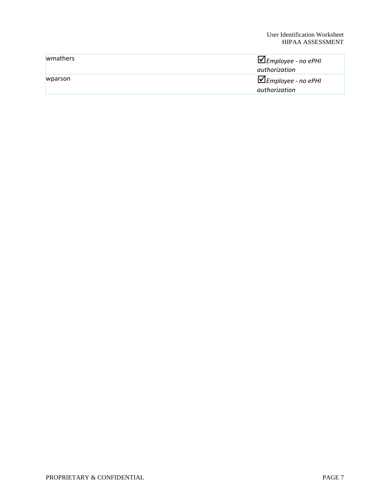| wmathers | $\triangle$ Employee - no ePHI<br>authorization           |
|----------|-----------------------------------------------------------|
| wparson  | $\blacktriangleright$ Employee - no ePHI<br>authorization |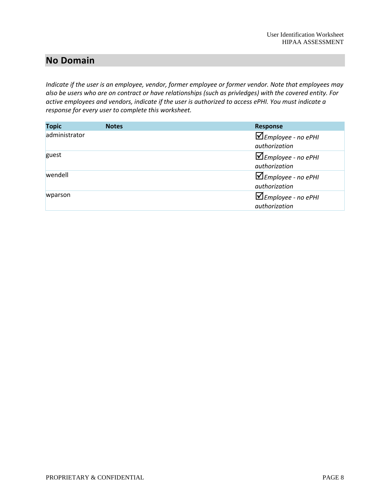### **No Domain**

*Indicate if the user is an employee, vendor, former employee or former vendor. Note that employees may also be users who are on contract or have relationships (such as privledges) with the covered entity. For active employees and vendors, indicate if the user is authorized to access ePHI. You must indicate a response for every user to complete this worksheet.*

| <b>Topic</b>  | <b>Notes</b> | <b>Response</b>                                       |
|---------------|--------------|-------------------------------------------------------|
| administrator |              | $\Sigma$ Employee - no ePHI<br>authorization          |
| guest         |              | $\Sigma$ Employee - no ePHI<br>authorization          |
| wendell       |              | $\Sigma$ Employee - no ePHI<br>authorization          |
| wparson       |              | $\mathbf{\nabla}$ Employee - no ePHI<br>authorization |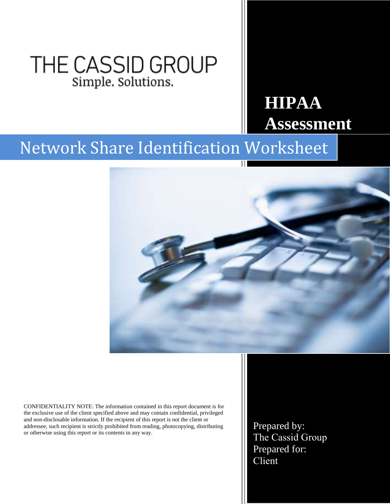### THE CASSID GROUP Simple. Solutions.

# **HIPAA Assessment**

## Network Share Identification Worksheet



CONFIDENTIALITY NOTE: The information contained in this report document is for the exclusive use of the client specified above and may contain confidential, privileged and non-disclosable information. If the recipient of this report is not the client or addressee, such recipient is strictly prohibited from reading, photocopying, distributing or otherwise using this report or its contents in any way.

Prepared by: The Cassid Group Prepared for: Client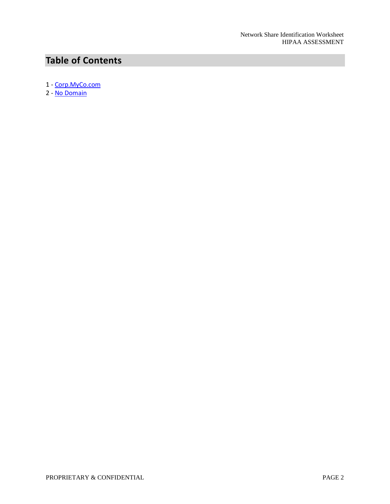Network Share Identification Worksheet HIPAA ASSESSMENT

### **Table of Contents**

- 1 [Corp.MyCo.com](file:///C:/Users/mwinter/Documents/PerformanceIT/NetworkDetective/Sample%20Reports/HIPAA%202014-04-02/Anonymized%20HIPAA%20Sample%20Reports/9%20-%20Network%20Share%20Identification%20Worksheet.docx%23Corp.PerformanceIT.com)
- 2 [No Domain](file:///C:/Users/mwinter/Documents/PerformanceIT/NetworkDetective/Sample%20Reports/HIPAA%202014-04-02/Anonymized%20HIPAA%20Sample%20Reports/9%20-%20Network%20Share%20Identification%20Worksheet.docx%23NoDomain)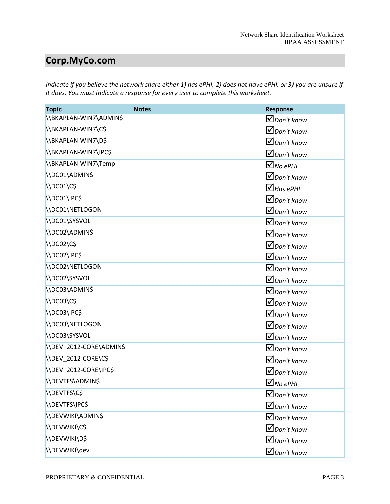### **Corp.MyCo.com**

*Indicate if you believe the network share either 1) has ePHI, 2) does not have ePHI, or 3) you are unsure if it does. You must indicate a response for every user to complete this worksheet.*

| <b>Topic</b>            | <b>Notes</b> | <b>Response</b>     |
|-------------------------|--------------|---------------------|
| \\BKAPLAN-WIN7\ADMIN\$  |              | Don't know          |
| \\BKAPLAN-WIN7\C\$      |              | Don't know          |
| \\BKAPLAN-WIN7\D\$      |              | Don't know          |
| \\BKAPLAN-WIN7\IPC\$    |              | Don't know          |
| \\BKAPLAN-WIN7\Temp     |              | $\nabla$ No ePHI    |
| \\DC01\ADMIN\$          |              | Don't know          |
| \\DC01\C\$              |              | $\Box$ Наѕ еРНІ     |
| \\DC01\IPC\$            |              | Don't know          |
| \\DC01\NETLOGON         |              | Don't know          |
| \\DC01\SYSVOL           |              | Don't know          |
| \\DC02\ADMIN\$          |              | Don't know          |
| \\DC02\C\$              |              | Don't know          |
| \\DC02\IPC\$            |              | Don't know          |
| \\DC02\NETLOGON         |              | Don't know          |
| \\DC02\SYSVOL           |              | Don't know          |
| \\DC03\ADMIN\$          |              | Don't know          |
| \\DC03\C\$              |              | Don't know          |
| \\DC03\IPC\$            |              | Don't know          |
| \\DC03\NETLOGON         |              | Don't know          |
| \\DC03\SYSVOL           |              | Don't know          |
| \\DEV_2012-CORE\ADMIN\$ |              | Don't know          |
| \\DEV_2012-CORE\C\$     |              | Don't know          |
| \\DEV_2012-CORE\IPC\$   |              | Don't know          |
| \\DEVTFS\ADMIN\$        |              | $\Box$ No еРНІ      |
| \\DEVTFS\C\$            |              | <b>△</b> Don't know |
| \\DEVTFS\IPC\$          |              | Don't know          |
| \\DEVWIKI\ADMIN\$       |              | Don't know          |
| \\DEVWIKI\C\$           |              | <b>△</b> Don't know |
| \\DEVWIKI\D\$           |              | Don't know          |
| \\DEVWIKI\dev           |              | Don't know          |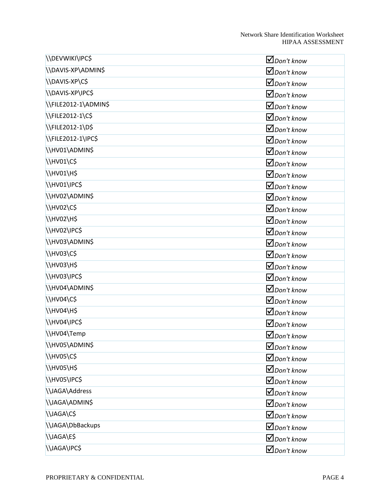| \\DEVWIKI\IPC\$      | Don't know          |
|----------------------|---------------------|
| \\DAVIS-XP\ADMIN\$   | Don't know          |
| \\DAVIS-XP\C\$       | Don't know          |
| \\DAVIS-XP\IPC\$     | Don't know          |
| \\FILE2012-1\ADMIN\$ | Don't know          |
| \\FILE2012-1\C\$     | Don't know          |
| \\FILE2012-1\D\$     | Don't know          |
| \\FILE2012-1\IPC\$   | Don't know          |
| \\HV01\ADMIN\$       | Don't know          |
| \\HV01\C\$           | Don't know          |
| \\HV01\H\$           | Don't know          |
| \\HV01\IPC\$         | Don't know          |
| \\HV02\ADMIN\$       | Don't know          |
| \\HV02\C\$           | Don't know          |
| \\HV02\H\$           | Don't know          |
| \\HV02\IPC\$         | Don't know          |
| \\HV03\ADMIN\$       | Don't know          |
| \\HV03\C\$           | Don't know          |
| \\HV03\H\$           | Don't know          |
| \\HV03\IPC\$         | Don't know          |
| \\HV04\ADMIN\$       | Don't know          |
| \\HV04\C\$           | Don't know          |
| \\HV04\H\$           | Don't know          |
| \\HV04\IPC\$         | Don't know          |
| \\HV04\Temp          | $\Delta$ Don't know |
| \\HV05\ADMIN\$       | Don't know          |
| \\HV05\C\$           | Don't know          |
| \\HV05\H\$           | ⊠Don't know         |
| \\HV05\IPC\$         | Don't know          |
| \\JAGA\Address       | ⊠Don't know         |
| \\JAGA\ADMIN\$       | Don't know          |
| \\JAGA\C\$           | ⊠Don't know         |
| \\JAGA\DbBackups     | Don't know          |
| \\JAGA\E\$           | ⊠Don't know         |
| \\JAGA\IPC\$         | Don't know          |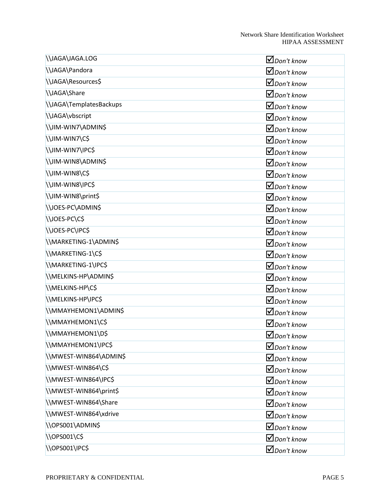| \\JAGA\JAGA.LOG         | Don't know          |
|-------------------------|---------------------|
| \\JAGA\Pandora          | Don't know          |
| \\JAGA\Resources\$      | Don't know          |
| \\JAGA\Share            | Don't know          |
| \\JAGA\TemplatesBackups | Don't know          |
| \\JAGA\vbscript         | Don't know          |
| \\JIM-WIN7\ADMIN\$      | Don't know          |
| \\JIM-WIN7\C\$          | Don't know          |
| \\JIM-WIN7\IPC\$        | Don't know          |
| \\JIM-WIN8\ADMIN\$      | Don't know          |
| \\JIM-WIN8\C\$          | Don't know          |
| \\JIM-WIN8\IPC\$        | Don't know          |
| \\JIM-WIN8\print\$      | Don't know          |
| \\JOES-PC\ADMIN\$       | Don't know          |
| \\JOES-PC\C\$           | Don't know          |
| \\JOES-PC\IPC\$         | Don't know          |
| \\MARKETING-1\ADMIN\$   | Don't know          |
| \\MARKETING-1\C\$       | Don't know          |
| \\MARKETING-1\IPC\$     | Don't know          |
| \\MELKINS-HP\ADMIN\$    | Don't know          |
| \\MELKINS-HP\C\$        | Don't know          |
| \\MELKINS-HP\IPC\$      | Don't know          |
| \\MMAYHEMON1\ADMIN\$    | Don't know          |
| \\MMAYHEMON1\C\$        | Don't know          |
| \\MMAYHEMON1\D\$        | $\Delta$ Don't know |
| \\MMAYHEMON1\IPC\$      | Don't know          |
| \\MWEST-WIN864\ADMIN\$  | Don't know          |
| \\MWEST-WIN864\C\$      | ⊠Don't know         |
| \\MWEST-WIN864\IPC\$    | Don't know          |
| \\MWEST-WIN864\print\$  | ⊠Don't know         |
| \\MWEST-WIN864\Share    | Don't know          |
| \\MWEST-WIN864\xdrive   | ⊠Don't know         |
| \\OPS001\ADMIN\$        | Don't know          |
| \\OPS001\C\$            | ⊠Don't know         |
| \\OPS001\IPC\$          | Don't know          |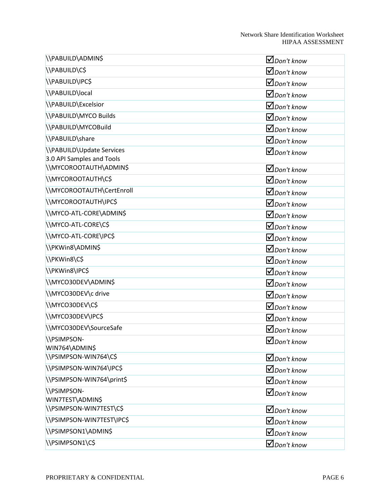| \\PABUILD\ADMIN\$               | Don't know          |
|---------------------------------|---------------------|
| \\PABUILD\C\$                   | Don't know          |
| \\PABUILD\IPC\$                 | Don't know          |
| \\PABUILD\local                 | Don't know          |
| \\PABUILD\Excelsior             | Don't know          |
| \\PABUILD\MYCO Builds           | Don't know          |
| \\PABUILD\MYCOBuild             | Don't know          |
| \\PABUILD\share                 | Don't know          |
| \\PABUILD\Update Services       | <b>△</b> Don't know |
| 3.0 API Samples and Tools       |                     |
| \\MYCOROOTAUTH\ADMIN\$          | Don't know          |
| \\MYCOROOTAUTH\C\$              | Don't know          |
| \\MYCOROOTAUTH\CertEnroll       | Don't know          |
| \\MYCOROOTAUTH\IPC\$            | <b>⊡</b> Don't know |
| \\MYCO-ATL-CORE\ADMIN\$         | Don't know          |
| \\MYCO-ATL-CORE\C\$             | <b>⊡</b> Don't know |
| \\MYCO-ATL-CORE\IPC\$           | Don't know          |
| \\PKWin8\ADMIN\$                | <b>⊡</b> Don't know |
| \\PKWin8\C\$                    | Don't know          |
| \\PKWin8\IPC\$                  | <b>⊡</b> Don't know |
| \\MYCO30DEV\ADMIN\$             | Don't know          |
| \\MYCO30DEV\c drive             | <b>⊡</b> Don't know |
| \\MYCO30DEV\C\$                 | <b>Ø</b> Don't know |
| \\MYCO30DEV\IPC\$               | ⊠Don't know         |
| \\MYCO30DEV\SourceSafe          | Don't know          |
| \\PSIMPSON-                     | Don't know          |
| WIN764\ADMIN\$                  |                     |
| \\PSIMPSON-WIN764\C\$           | Don't know          |
| \\PSIMPSON-WIN764\IPC\$         | Don't know          |
| \\PSIMPSON-WIN764\print\$       | Don't know          |
| \\PSIMPSON-<br>WIN7TEST\ADMIN\$ | $\Delta$ Don't know |
| \\PSIMPSON-WIN7TEST\C\$         | $\Delta$ Don't know |
| \\PSIMPSON-WIN7TEST\IPC\$       | $\Delta$ Don't know |
| \\PSIMPSON1\ADMIN\$             | $\Delta$ Don't know |
| \\PSIMPSON1\C\$                 | $\Delta$ Don't know |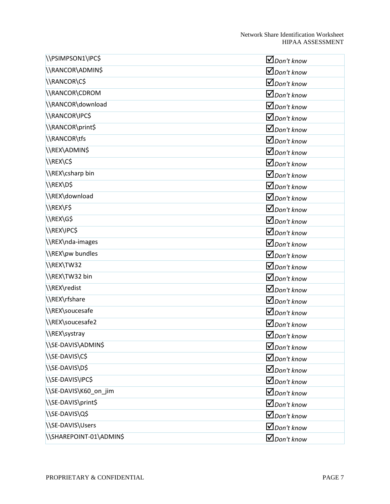| \\PSIMPSON1\IPC\$       | Don't know          |
|-------------------------|---------------------|
| \\RANCOR\ADMIN\$        | Don't know          |
| \\RANCOR\C\$            | Don't know          |
| \\RANCOR\CDROM          | Don't know          |
| \\RANCOR\download       | Don't know          |
| \\RANCOR\IPC\$          | Don't know          |
| \\RANCOR\print\$        | Don't know          |
| \\RANCOR\tfs            | Don't know          |
| \\REX\ADMIN\$           | Don't know          |
| \\REX\C\$               | Don't know          |
| \\REX\csharp bin        | Don't know          |
| \\REX\D\$               | Don't know          |
| \\REX\download          | Don't know          |
| \\REX\F\$               | Don't know          |
| \\REX\G\$               | Don't know          |
| \\REX\IPC\$             | Don't know          |
| \\REX\nda-images        | Don't know          |
| \\REX\pw bundles        | Don't know          |
| \\REX\TW32              | Don't know          |
| \\REX\TW32 bin          | Don't know          |
| \\REX\redist            | Don't know          |
| \\REX\rfshare           | Don't know          |
| \\REX\soucesafe         | Don't know          |
| \\REX\soucesafe2        | Don't know          |
| \\REX\systray           | $\Delta$ Don't know |
| \\SE-DAVIS\ADMIN\$      | Don't know          |
| \\SE-DAVIS\C\$          | Don't know          |
| \\SE-DAVIS\D\$          | ⊠Don't know         |
| \\SE-DAVIS\IPC\$        | Don't know          |
| \\SE-DAVIS\K60_on_jim   | Don't know          |
| \\SE-DAVIS\print\$      | Don't know          |
| \\SE-DAVIS\Q\$          | ⊠Don't know         |
| \\SE-DAVIS\Users        | ⊠Don't know         |
| \\SHAREPOINT-01\ADMIN\$ | Don't know          |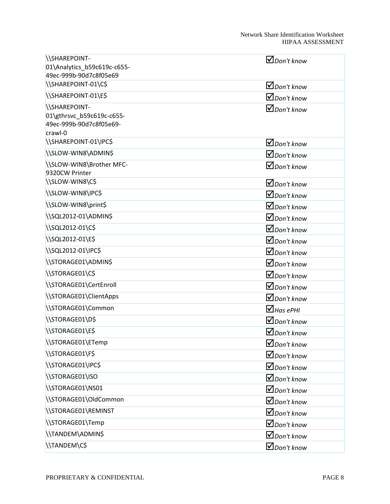#### Network Share Identification Worksheet HIPAA ASSESSMENT

| \\SHAREPOINT-                      | Don't know                        |
|------------------------------------|-----------------------------------|
| 01\Analytics_b59c619c-c655-        |                                   |
| 49ec-999b-90d7c8f05e69             |                                   |
| \\SHAREPOINT-01\C\$                | $\mathbf{\mathcal{D}}$ Don't know |
| \\SHAREPOINT-01\E\$                | <b>Ø</b> Don't know               |
| \\SHAREPOINT-                      | Don't know                        |
| 01\gthrsvc_b59c619c-c655-          |                                   |
| 49ec-999b-90d7c8f05e69-<br>crawl-0 |                                   |
| \\SHAREPOINT-01\IPC\$              | $\Box$ Don't know                 |
| \\SLOW-WIN8\ADMIN\$                | Don't know                        |
| \\SLOW-WIN8\Brother MFC-           | $\mathbf{\nabla}$ Don't know      |
| 9320CW Printer                     |                                   |
| \\SLOW-WIN8\C\$                    | Don't know                        |
| \\SLOW-WIN8\IPC\$                  | Don't know                        |
| \\SLOW-WIN8\print\$                | Don't know                        |
| \\SQL2012-01\ADMIN\$               | ■Don't know                       |
| \\SQL2012-01\C\$                   | ⊠Don't know                       |
| \\SQL2012-01\E\$                   | ■Don't know                       |
| \\SQL2012-01\IPC\$                 | Don't know                        |
| \\STORAGE01\ADMIN\$                | ■Don't know                       |
| \\STORAGE01\C\$                    | Don't know                        |
| \\STORAGE01\CertEnroll             | <b>⊡</b> Don't know               |
| \\STORAGE01\ClientApps             | Don't know                        |
| \\STORAGE01\Common                 | $\Box$ Has ePHI                   |
| \\STORAGE01\D\$                    | Don't know                        |
| \\STORAGE01\E\$                    | ⊠Don't know                       |
| \\STORAGE01\ETemp                  | Don't know                        |
| \\STORAGE01\F\$                    | Don't know                        |
| \\STORAGE01\IPC\$                  | ⊠Don't know                       |
| \\STORAGE01\ISO                    | Don't know                        |
| \\STORAGE01\NS01                   | Don't know                        |
| \\STORAGE01\OldCommon              | Don't know                        |
| \\STORAGE01\REMINST                | ⊠Don't know                       |
| \\STORAGE01\Temp                   | ⊠Don't know                       |
| \\TANDEM\ADMIN\$                   | ⊠Don't know                       |
| \\TANDEM\C\$                       | $\Delta$ Don't know               |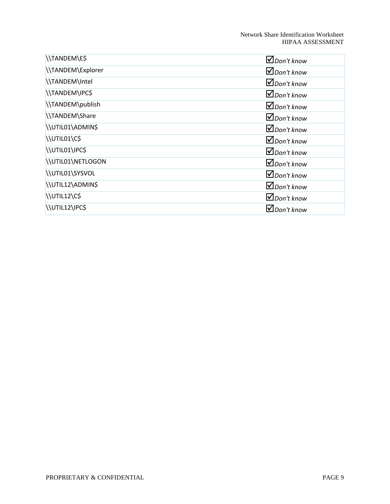| \\TANDEM\E\$      | $\sum$ Don't know            |
|-------------------|------------------------------|
| \\TANDEM\Explorer | $\Box$ Don't know            |
| \\TANDEM\Intel    | $\Box$ Don't know            |
| \\TANDEM\IPC\$    | $\mathbf{\nabla}$ Don't know |
| \\TANDEM\publish  | $\sum$ Don't know            |
| \\TANDEM\Share    | $\Box$ Don't know            |
| \\UTIL01\ADMIN\$  | $\Box$ Don't know            |
| \\UTIL01\C\$      | $\sum$ Don't know            |
| \\UTIL01\IPC\$    | $\mathbf{\nabla}$ Don't know |
| \\UTIL01\NETLOGON | $\Box$ Don't know            |
| \\UTIL01\SYSVOL   | $\sum$ Don't know            |
| \\UTIL12\ADMIN\$  | $\mathbf{\Sigma}$ Don't know |
| \\UTIL12\C\$      | $\mathbf{\Sigma}$ Don't know |
| \\UTIL12\IPC\$    | $\Box$ Don't know            |